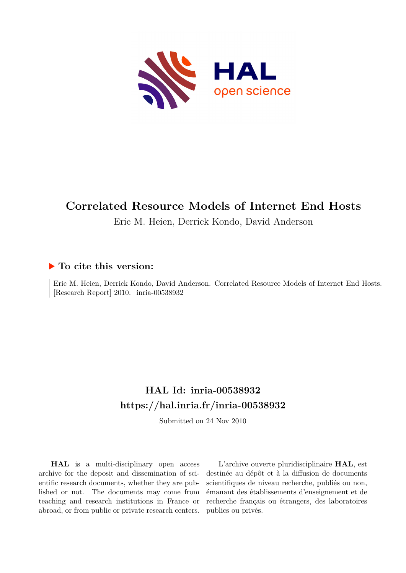

# **Correlated Resource Models of Internet End Hosts**

Eric M. Heien, Derrick Kondo, David Anderson

# **To cite this version:**

Eric M. Heien, Derrick Kondo, David Anderson. Correlated Resource Models of Internet End Hosts. [Research Report]  $2010.$  inria- $00538932$ 

# **HAL Id: inria-00538932 <https://hal.inria.fr/inria-00538932>**

Submitted on 24 Nov 2010

**HAL** is a multi-disciplinary open access archive for the deposit and dissemination of scientific research documents, whether they are published or not. The documents may come from teaching and research institutions in France or abroad, or from public or private research centers.

L'archive ouverte pluridisciplinaire **HAL**, est destinée au dépôt et à la diffusion de documents scientifiques de niveau recherche, publiés ou non, émanant des établissements d'enseignement et de recherche français ou étrangers, des laboratoires publics ou privés.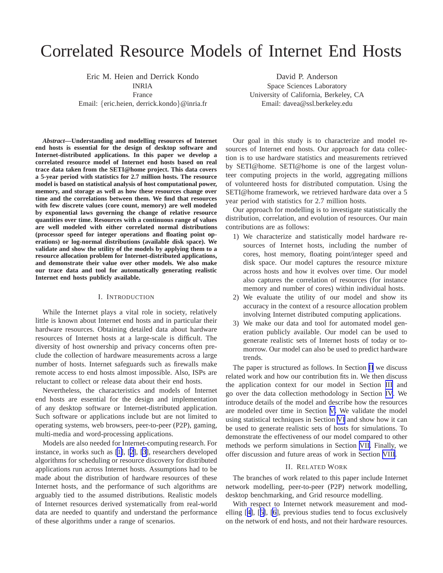# Correlated Resource Models of Internet End Hosts

Eric M. Heien and Derrick Kondo INRIA France Email: {eric.heien, derrick.kondo}@inria.fr

*Abstract***—Understanding and modelling resources of Internet end hosts is essential for the design of desktop software and Internet-distributed applications. In this paper we develop a correlated resource model of Internet end hosts based on real trace data taken from the SETI@home project. This data covers a 5-year period with statistics for 2.7 million hosts. The resource model is based on statistical analysis of host computational power, memory, and storage as well as how these resources change over time and the correlations between them. We find that resources with few discrete values (core count, memory) are well modeled by exponential laws governing the change of relative resource quantities over time. Resources with a continuous range of values are well modeled with either correlated normal distributions (processor speed for integer operations and floating point operations) or log-normal distributions (available disk space). We validate and show the utility of the models by applying them to a resource allocation problem for Internet-distributed applications, and demonstrate their value over other models. We also make our trace data and tool for automatically generating realistic Internet end hosts publicly available.**

# I. INTRODUCTION

While the Internet plays a vital role in society, relatively little is known about Internet end hosts and in particular their hardware resources. Obtaining detailed data about hardware resources of Internet hosts at a large-scale is difficult. The diversity of host ownership and privacy concerns often preclude the collection of hardware measurements across a large number of hosts. Internet safeguards such as firewalls make remote access to end hosts almost impossible. Also, ISPs are reluctant to collect or release data about their end hosts.

Nevertheless, the characteristics and models of Internet end hosts are essential for the design and implementation of any desktop software or Internet-distributed application. Such software or applications include but are not limited to operating systems, web browsers, peer-to-peer (P2P), gaming, multi-media and word-processing applications.

Models are also needed for Internet-computing research. For instance, in works such as [\[1\]](#page-11-0), [[2\]](#page-11-0), [\[3](#page-11-0)], researchers developed algorithms for scheduling or resource discovery for distributed applications run across Internet hosts. Assumptions had to be made about the distribution of hardware resources of these Internet hosts, and the performance of such algorithms are arguably tied to the assumed distributions. Realistic models of Internet resources derived systematically from real-world data are needed to quantify and understand the performance of these algorithms under a range of scenarios.

David P. Anderson Space Sciences Laboratory University of California, Berkeley, CA Email: davea@ssl.berkeley.edu

Our goal in this study is to characterize and model resources of Internet end hosts. Our approach for data collection is to use hardware statistics and measurements retrieved by SETI@home. SETI@home is one of the largest volunteer computing projects in the world, aggregating millions of volunteered hosts for distributed computation. Using the SETI@home framework, we retrieved hardware data over a 5 year period with statistics for 2.7 million hosts.

Our approach for modelling is to investigate statistically the distribution, correlation, and evolution of resources. Our main contributions are as follows:

- 1) We characterize and statistically model hardware resources of Internet hosts, including the number of cores, host memory, floating point/integer speed and disk space. Our model captures the resource mixture across hosts and how it evolves over time. Our model also captures the correlation of resources (for instance memory and number of cores) within individual hosts.
- 2) We evaluate the utility of our model and show its accuracy in the context of a resource allocation problem involving Internet distributed computing applications.
- 3) We make our data and tool for automated model generation publicly available. Our model can be used to generate realistic sets of Internet hosts of today or tomorrow. Our model can also be used to predict hardware trends.

The paper is structured as follows. In Section II we discuss related work and how our contribution fits in. We then discuss the application context for our model in Section [III](#page-2-0) and go over the data collection methodology in Section [IV](#page-2-0). We introduce details of the model and describe how the resources are modeled over time in Section [V.](#page-2-0) We validate the model using statistical techniques in Section [VI](#page-8-0) and show how it can be used to generate realistic sets of hosts for simulations. To demonstrate the effectiveness of our model compared to other methods we perform simulations in Section [VII.](#page-9-0) Finally, we offer discussion and future areas of work in Section [VIII](#page-10-0).

# II. RELATED WORK

The branches of work related to this paper include Internet network modelling, peer-to-peer (P2P) network modelling, desktop benchmarking, and Grid resource modelling.

With respect to Internet network measurement and modelling [[4\]](#page-11-0), [[5\]](#page-11-0), [\[6](#page-11-0)], previous studies tend to focus exclusively on the network of end hosts, and not their hardware resources.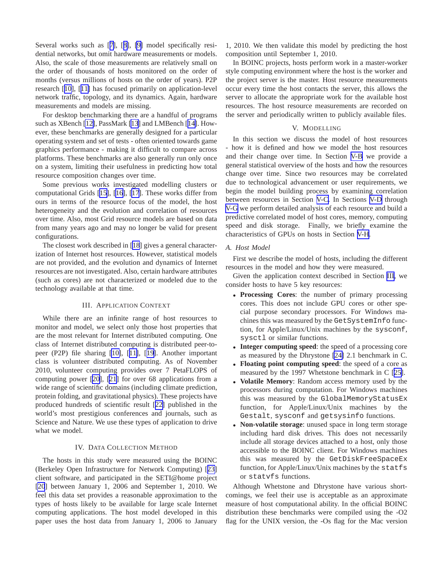<span id="page-2-0"></span>Several works such as [[7\]](#page-11-0), [[8\]](#page-11-0), [\[9\]](#page-11-0) model specifically residential networks, but omit hardware measurements or models. Also, the scale of those measurements are relatively small on the order of thousands of hosts monitored on the order of months (versus millions of hosts on the order of years). P2P research [[10\]](#page-11-0), [[11\]](#page-11-0) has focused primarily on application-level network traffic, topology, and its dynamics. Again, hardware measurements and models are missing.

For desktop benchmarking there are a handful of programs such as XBench [\[12\]](#page-11-0), PassMark [\[13](#page-11-0)] and LMBench [[14\]](#page-11-0). However, these benchmarks are generally designed for a particular operating system and set of tests - often oriented towards game graphics performance - making it difficult to compare across platforms. These benchmarks are also generally run only once on a system, limiting their usefulness in predicting how total resource composition changes over time.

Some previous works investigated modelling clusters or computational Grids [[15\]](#page-11-0), [\[16](#page-11-0)], [\[17](#page-11-0)]. These works differ from ours in terms of the resource focus of the model, the host heterogeneity and the evolution and correlation of resources over time. Also, most Grid resource models are based on data from many years ago and may no longer be valid for present configurations.

The closest work described in [\[18](#page-11-0)] gives a general characterization of Internet host resources. However, statistical models are not provided, and the evolution and dynamics of Internet resources are not investigated. Also, certain hardware attributes (such as cores) are not characterized or modeled due to the technology available at that time.

## III. APPLICATION CONTEXT

While there are an infinite range of host resources to monitor and model, we select only those host properties that are the most relevant for Internet distributed computing. One class of Internet distributed computing is distributed peer-topeer (P2P) file sharing [\[10\]](#page-11-0), [[11\]](#page-11-0), [[19\]](#page-11-0). Another important class is volunteer distributed computing. As of November 2010, volunteer computing provides over 7 PetaFLOPS of computing power [[20\]](#page-11-0), [\[21](#page-11-0)] for over 68 applications from a wide range of scientific domains (including climate prediction, protein folding, and gravitational physics). These projects have produced hundreds of scientific result [[22\]](#page-11-0) published in the world's most prestigious conferences and journals, such as Science and Nature. We use these types of application to drive what we model.

# IV. DATA COLLECTION METHOD

The hosts in this study were measured using the BOINC (Berkeley Open Infrastructure for Network Computing) [[23\]](#page-11-0) client software, and participated in the SETI@home project [\[20](#page-11-0)] between January 1, 2006 and September 1, 2010. We feel this data set provides a reasonable approximation to the types of hosts likely to be available for large scale Internet computing applications. The host model developed in this paper uses the host data from January 1, 2006 to January

1, 2010. We then validate this model by predicting the host composition until September 1, 2010.

In BOINC projects, hosts perform work in a master-worker style computing environment where the host is the worker and the project server is the master. Host resource measurements occur every time the host contacts the server, this allows the server to allocate the appropriate work for the available host resources. The host resource measurements are recorded on the server and periodically written to publicly available files.

# V. MODELLING

In this section we discuss the model of host resources - how it is defined and how we model the host resources and their change over time. In Section [V-B](#page-3-0) we provide a general statistical overview of the hosts and how the resources change over time. Since two resources may be correlated due to technological advancement or user requirements, we begin the model building process by examining correlation between resources in Section [V-C.](#page-4-0) In Sections [V-D](#page-5-0) through [V-G](#page-7-0) we perform detailed analysis of each resource and build a predictive correlated model of host cores, memory, computing speed and disk storage. Finally, we briefly examine the characteristics of GPUs on hosts in Section [V-H](#page-7-0).

#### *A. Host Model*

First we describe the model of hosts, including the different resources in the model and how they were measured.

Given the application context described in Section III, we consider hosts to have 5 key resources:

- **Processing Cores**: the number of primary processing cores. This does not include GPU cores or other special purpose secondary processors. For Windows machines this was measured by the GetSystemInfo function, for Apple/Linux/Unix machines by the sysconf, sysctl or similar functions.
- **Integer computing speed**: the speed of a processing core as measured by the Dhrystone [\[24\]](#page-11-0) 2.1 benchmark in C.
- **Floating point computing speed**: the speed of a core as measured by the 1997 Whetstone benchmark in C [[25\]](#page-11-0).
- **Volatile Memory**: Random access memory used by the processors during computation. For Windows machines this was measured by the GlobalMemoryStatusEx function, for Apple/Linux/Unix machines by the Gestalt, sysconf and getsysinfo functions.
- **Non-volatile storage**: unused space in long term storage including hard disk drives. This does not necessarily include all storage devices attached to a host, only those accessible to the BOINC client. For Windows machines this was measured by the GetDiskFreeSpaceEx function, for Apple/Linux/Unix machines by the statfs or statvfs functions.

Although Whetstone and Dhrystone have various shortcomings, we feel their use is acceptable as an approximate measure of host computational ability. In the official BOINC distribution these benchmarks were compiled using the -O2 flag for the UNIX version, the -Os flag for the Mac version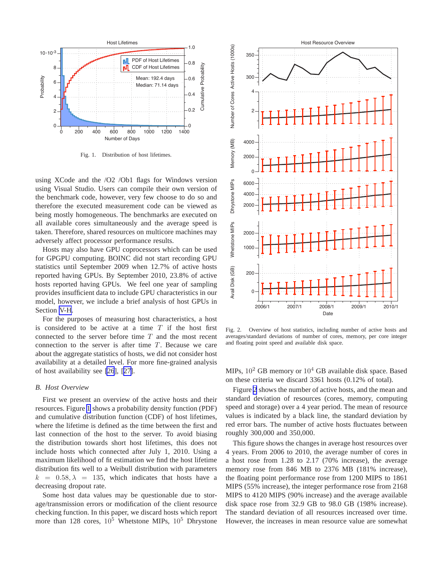<span id="page-3-0"></span>

Fig. 1. Distribution of host lifetimes.

using XCode and the /O2 /Ob1 flags for Windows version using Visual Studio. Users can compile their own version of the benchmark code, however, very few choose to do so and therefore the executed measurement code can be viewed as being mostly homogeneous. The benchmarks are executed on all available cores simultaneously and the average speed is taken. Therefore, shared resources on multicore machines may adversely affect processor performance results.

Hosts may also have GPU coprocessors which can be used for GPGPU computing. BOINC did not start recording GPU statistics until September 2009 when 12.7% of active hosts reported having GPUs. By September 2010, 23.8% of active hosts reported having GPUs. We feel one year of sampling provides insufficient data to include GPU characteristics in our model, however, we include a brief analysis of host GPUs in Section [V-H.](#page-7-0)

For the purposes of measuring host characteristics, a host is considered to be active at a time  $T$  if the host first connected to the server before time  $T$  and the most recent connection to the server is after time  $T$ . Because we care about the aggregate statistics of hosts, we did not consider host availability at a detailed level. For more fine-grained analysis of host availability see [\[26](#page-12-0)], [[27\]](#page-12-0).

# *B. Host Overview*

First we present an overview of the active hosts and their resources. Figure 1 shows a probability density function (PDF) and cumulative distribution function (CDF) of host lifetimes, where the lifetime is defined as the time between the first and last connection of the host to the server. To avoid biasing the distribution towards short host lifetimes, this does not include hosts which connected after July 1, 2010. Using a maximum likelihood of fit estimation we find the host lifetime distribution fits well to a Weibull distribution with parameters  $k = 0.58, \lambda = 135$ , which indicates that hosts have a decreasing dropout rate.

Some host data values may be questionable due to storage/transmission errors or modification of the client resource checking function. In this paper, we discard hosts which report more than 128 cores,  $10^5$  Whetstone MIPs,  $10^5$  Dhrystone



Fig. 2. Overview of host statistics, including number of active hosts and averages/standard deviations of number of cores, memory, per core integer and floating point speed and available disk space.

MIPs,  $10^2$  GB memory or  $10^4$  GB available disk space. Based on these criteria we discard 3361 hosts (0.12% of total).

Figure 2 shows the number of active hosts, and the mean and standard deviation of resources (cores, memory, computing speed and storage) over a 4 year period. The mean of resource values is indicated by a black line, the standard deviation by red error bars. The number of active hosts fluctuates between roughly 300,000 and 350,000.

This figure shows the changes in average host resources over 4 years. From 2006 to 2010, the average number of cores in a host rose from 1.28 to 2.17 (70% increase), the average memory rose from 846 MB to 2376 MB (181% increase), the floating point performance rose from 1200 MIPS to 1861 MIPS (55% increase), the integer performance rose from 2168 MIPS to 4120 MIPS (90% increase) and the average available disk space rose from 32.9 GB to 98.0 GB (198% increase). The standard deviation of all resources increased over time. However, the increases in mean resource value are somewhat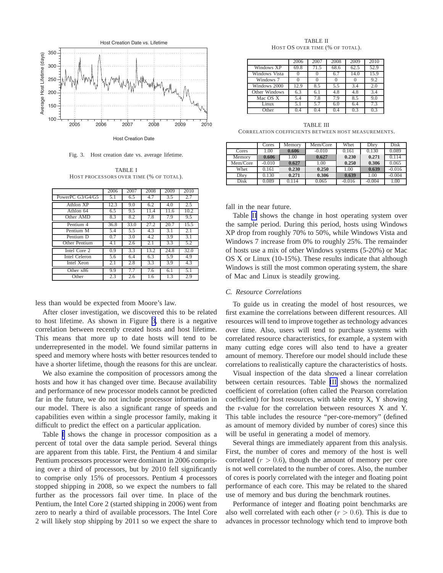<span id="page-4-0"></span>

Fig. 3. Host creation date vs. average lifetime.

TABLE I HOST PROCESSORS OVER TIME (% OF TOTAL).

|                  | 2006             | 2007 | 2008             | 2009             | 2010              |
|------------------|------------------|------|------------------|------------------|-------------------|
| PowerPC G3/G4/G5 | 5.1              | 6.5  | 4.7              | 3.5              | 2.7               |
| Athlon XP        | 12.3             | 9.0  | 6.2              | 4.0              | 2.5               |
| Athlon 64        | 6.5              | 9.5  | 11.4             | 11.6             | 10.2              |
| Other AMD        | 8.3              | 8.2  | 7.8              | 7.9              | 9.5               |
| Pentium 4        | 36.8             | 33.0 | 27.2             | 20.7             | 15.5              |
| Pentium M        | 5.4              | 5.5  | 4.3              | 3.1              | 2.1               |
| Pentium D        | $\overline{0.7}$ | 3.0  | 4.2              | 3.9              | $\overline{3}$ .1 |
| Other Pentium    | 4.1              | 2.6  | 2.1              | 3.3              | 5.2               |
| Intel Core 2     | 0.9              | 3.3  | 13.2             | 24.8             | 32.0              |
| Intel Celeron    | 5.6              | 6.4  | 6.3              | 5.9              | 4.9               |
| Intel Xeon       | 2.1              | 2.8  | $\overline{3.3}$ | $\overline{3.9}$ | 4.3               |
| Other $x86$      | 9.9              | 7.7  | 7.6              | 6.1              | 5.1               |
| Other            | 2.3              | 2.6  | 1.6              | 1.3              | 2.9               |

less than would be expected from Moore's law.

After closer investigation, we discovered this to be related to host lifetime. As shown in Figure 3, there is a negative correlation between recently created hosts and host lifetime. This means that more up to date hosts will tend to be underrepresented in the model. We found similar patterns in speed and memory where hosts with better resources tended to have a shorter lifetime, though the reasons for this are unclear.

We also examine the composition of processors among the hosts and how it has changed over time. Because availability and performance of new processor models cannot be predicted far in the future, we do not include processor information in our model. There is also a significant range of speeds and capabilities even within a single processor family, making it difficult to predict the effect on a particular application.

Table I shows the change in processor composition as a percent of total over the data sample period. Several things are apparent from this table. First, the Pentium 4 and similar Pentium processors processor were dominant in 2006 comprising over a third of processors, but by 2010 fell significantly to comprise only 15% of processors. Pentium 4 processors stopped shipping in 2008, so we expect the numbers to fall further as the processors fail over time. In place of the Pentium, the Intel Core 2 (started shipping in 2006) went from zero to nearly a third of available processors. The Intel Core 2 will likely stop shipping by 2011 so we expect the share to

TABLE II HOST OS OVER TIME (% OF TOTAL).

|                     | 2006 | 2007 | 2008  | 2009 | 2010             |
|---------------------|------|------|-------|------|------------------|
| Windows XP          | 69.8 | 71.5 | 68.6  | 62.5 | 52.9             |
| Windows Vista       |      |      | 6.7   | 14.0 | 15.9             |
| Windows 7           |      |      |       |      | 9.2              |
| Windows 2000        | 12.9 | 8.5  | 5.5   | 3.4  | 2.0              |
| Other Windows       | 6.3  | 6.1  | 4.8   | 4.8  | $\overline{3.4}$ |
| Mac OS X            | 5.4  | 7.8  | 7.9   | 8.5  | 9.0              |
| Linux               | 5.1  | 5.7  | 6.0   | 6.4  | 7.3              |
| $\overline{O}$ ther | 0.4  | 0.4  | (0.4) | 0.3  | 0.3              |

TABLE III CORRELATION COEFFICIENTS BETWEEN HOST MEASUREMENTS.

|             | Cores    | Memory | Mem/Core | Whet     | Dhrv     | Disk     |
|-------------|----------|--------|----------|----------|----------|----------|
| Cores       | 1.00     | 0.606  | $-0.010$ | 0.161    | 0.130    | 0.089    |
| Memory      | 0.606    | 1.00   | 0.627    | 0.230    | 0.271    | 0.114    |
| Mem/Core    | $-0.010$ | 0.627  | 1.00     | 0.250    | 0.306    | 0.065    |
| Whet        | 0.161    | 0.230  | 0.250    | 1.00     | 0.639    | $-0.016$ |
| Dhrv        | 0.130    | 0.271  | 0.306    | 0.639    | 1.00     | $-0.004$ |
| <b>Disk</b> | 0.089    | 0.114  | 0.065    | $-0.016$ | $-0.004$ | 1.00     |

fall in the near future.

Table II shows the change in host operating system over the sample period. During this period, hosts using Windows XP drop from roughly 70% to 50%, while Windows Vista and Windows 7 increase from 0% to roughly 25%. The remainder of hosts use a mix of other Windows systems (5-20%) or Mac OS X or Linux (10-15%). These results indicate that although Windows is still the most common operating system, the share of Mac and Linux is steadily growing.

# *C. Resource Correlations*

To guide us in creating the model of host resources, we first examine the correlations between different resources. All resources will tend to improve together as technology advances over time. Also, users will tend to purchase systems with correlated resource characteristics, for example, a system with many cutting edge cores will also tend to have a greater amount of memory. Therefore our model should include these correlations to realistically capture the characteristics of hosts.

Visual inspection of the data showed a linear correlation between certain resources. Table III shows the normalized coefficient of correlation (often called the Pearson correlation coefficient) for host resources, with table entry X, Y showing the r-value for the correlation between resources X and Y. This table includes the resource "per-core-memory" (defined as amount of memory divided by number of cores) since this will be useful in generating a model of memory.

Several things are immediately apparent from this analysis. First, the number of cores and memory of the host is well correlated  $(r > 0.6)$ , though the amount of memory per core is not well correlated to the number of cores. Also, the number of cores is poorly correlated with the integer and floating point performance of each core. This may be related to the shared use of memory and bus during the benchmark routines.

Performance of integer and floating point benchmarks are also well correlated with each other  $(r > 0.6)$ . This is due to advances in processor technology which tend to improve both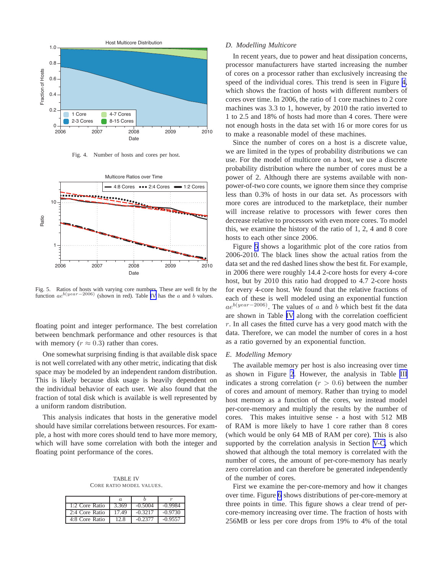<span id="page-5-0"></span>

Fig. 4. Number of hosts and cores per host.



Fig. 5. Ratios of hosts with varying core numbers. These are well fit by the function  $ae^{b(year-2006)}$  (shown in red). Table IV has the a and b values.

floating point and integer performance. The best correlation between benchmark performance and other resources is that with memory ( $r \approx 0.3$ ) rather than cores.

One somewhat surprising finding is that available disk space is not well correlated with any other metric, indicating that disk space may be modeled by an independent random distribution. This is likely because disk usage is heavily dependent on the individual behavior of each user. We also found that the fraction of total disk which is available is well represented by a uniform random distribution.

This analysis indicates that hosts in the generative model should have similar correlations between resources. For example, a host with more cores should tend to have more memory, which will have some correlation with both the integer and floating point performance of the cores.

TABLE IV CORE RATIO MODEL VALUES.

|                | а     |           |           |
|----------------|-------|-----------|-----------|
| 1:2 Core Ratio | 3.369 | $-0.5004$ | $-0.9984$ |
| 2:4 Core Ratio | 17.49 | $-0.3217$ | $-0.9730$ |
| 4:8 Core Ratio | 12.8  | $-0.2377$ | $-0.9557$ |

#### *D. Modelling Multicore*

In recent years, due to power and heat dissipation concerns, processor manufacturers have started increasing the number of cores on a processor rather than exclusively increasing the speed of the individual cores. This trend is seen in Figure 4, which shows the fraction of hosts with different numbers of cores over time. In 2006, the ratio of 1 core machines to 2 core machines was 3.3 to 1, however, by 2010 the ratio inverted to 1 to 2.5 and 18% of hosts had more than 4 cores. There were not enough hosts in the data set with 16 or more cores for us to make a reasonable model of these machines.

Since the number of cores on a host is a discrete value, we are limited in the types of probability distributions we can use. For the model of multicore on a host, we use a discrete probability distribution where the number of cores must be a power of 2. Although there are systems available with nonpower-of-two core counts, we ignore them since they comprise less than 0.3% of hosts in our data set. As processors with more cores are introduced to the marketplace, their number will increase relative to processors with fewer cores then decrease relative to processors with even more cores. To model this, we examine the history of the ratio of 1, 2, 4 and 8 core hosts to each other since 2006.

Figure 5 shows a logarithmic plot of the core ratios from 2006-2010. The black lines show the actual ratios from the data set and the red dashed lines show the best fit. For example, in 2006 there were roughly 14.4 2-core hosts for every 4-core host, but by 2010 this ratio had dropped to 4.7 2-core hosts for every 4-core host. We found that the relative fractions of each of these is well modeled using an exponential function  $ae^{b(year-2006)}$ . The values of a and b which best fit the data are shown in Table IV along with the correlation coefficient r. In all cases the fitted curve has a very good match with the data. Therefore, we can model the number of cores in a host as a ratio governed by an exponential function.

#### *E. Modelling Memory*

The available memory per host is also increasing over time as shown in Figure [2](#page-3-0). However, the analysis in Table [III](#page-4-0) indicates a strong correlation ( $r > 0.6$ ) between the number of cores and amount of memory. Rather than trying to model host memory as a function of the cores, we instead model per-core-memory and multiply the results by the number of cores. This makes intuitive sense - a host with 512 MB of RAM is more likely to have 1 core rather than 8 cores (which would be only 64 MB of RAM per core). This is also supported by the correlation analysis in Section [V-C,](#page-4-0) which showed that although the total memory is correlated with the number of cores, the amount of per-core-memory has nearly zero correlation and can therefore be generated independently of the number of cores.

First we examine the per-core-memory and how it changes over time. Figure [6](#page-6-0) shows distributions of per-core-memory at three points in time. This figure shows a clear trend of percore-memory increasing over time. The fraction of hosts with 256MB or less per core drops from 19% to 4% of the total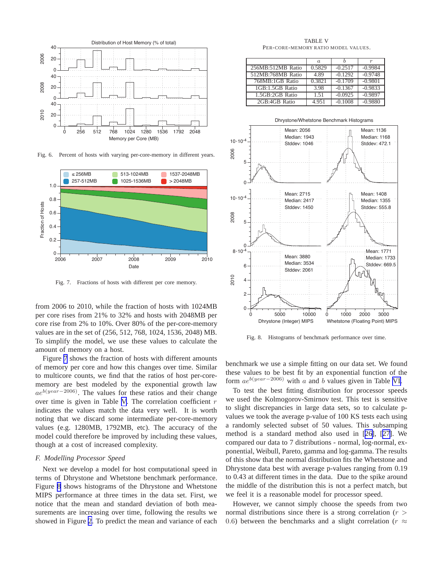<span id="page-6-0"></span>

Fig. 6. Percent of hosts with varying per-core-memory in different years.



Fig. 7. Fractions of hosts with different per core memory.

from 2006 to 2010, while the fraction of hosts with 1024MB per core rises from 21% to 32% and hosts with 2048MB per core rise from 2% to 10%. Over 80% of the per-core-memory values are in the set of (256, 512, 768, 1024, 1536, 2048) MB. To simplify the model, we use these values to calculate the amount of memory on a host.

Figure 7 shows the fraction of hosts with different amounts of memory per core and how this changes over time. Similar to multicore counts, we find that the ratios of host per-corememory are best modeled by the exponential growth law aeb(year−2006). The values for these ratios and their change over time is given in Table V. The correlation coefficient  $r$ indicates the values match the data very well. It is worth noting that we discard some intermediate per-core-memory values (e.g. 1280MB, 1792MB, etc). The accuracy of the model could therefore be improved by including these values, though at a cost of increased complexity.

#### *F. Modelling Processor Speed*

Next we develop a model for host computational speed in terms of Dhrystone and Whetstone benchmark performance. Figure 8 shows histograms of the Dhrystone and Whetstone MIPS performance at three times in the data set. First, we notice that the mean and standard deviation of both measurements are increasing over time, following the results we showed in Figure [2](#page-3-0). To predict the mean and variance of each

TABLE V PER-CORE-MEMORY RATIO MODEL VALUES.

|                   | $\alpha$ |           | r         |
|-------------------|----------|-----------|-----------|
| 256MB:512MB Ratio | 0.5829   | $-0.2517$ | $-0.9984$ |
| 512MB:768MB Ratio | 4.89     | $-0.1292$ | $-0.9748$ |
| 768MB:1GB Ratio   | 0.3821   | $-0.1709$ | $-0.9801$ |
| 1GB:1.5GB Ratio   | 3.98     | $-0.1367$ | $-0.9833$ |
| 1.5GB:2GB Ratio   | 1.51     | $-0.0925$ | $-0.9897$ |
| 2GB:4GB Ratio     | 4.951    | $-0.1008$ | $-0.9880$ |



Fig. 8. Histograms of benchmark performance over time.

benchmark we use a simple fitting on our data set. We found these values to be best fit by an exponential function of the form  $ae^{b(year-2006)}$  with a and b values given in Table [VI.](#page-7-0)

To test the best fitting distribution for processor speeds we used the Kolmogorov-Smirnov test. This test is sensitive to slight discrepancies in large data sets, so to calculate pvalues we took the average p-value of 100 KS tests each using a randomly selected subset of 50 values. This subsamping method is a standard method also used in [[26\]](#page-12-0), [[27\]](#page-12-0). We compared our data to 7 distributions - normal, log-normal, exponential, Weibull, Pareto, gamma and log-gamma. The results of this show that the normal distribution fits the Whetstone and Dhrystone data best with average p-values ranging from 0.19 to 0.43 at different times in the data. Due to the spike around the middle of the distribution this is not a perfect match, but we feel it is a reasonable model for processor speed.

However, we cannot simply choose the speeds from two normal distributions since there is a strong correlation ( $r >$ 0.6) between the benchmarks and a slight correlation ( $r \approx$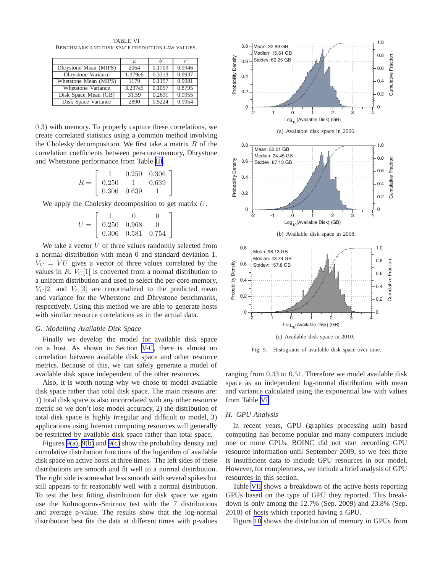<span id="page-7-0"></span>TABLE VI BENCHMARK AND DISK SPACE PREDICTION LAW VALUES.

|                        | $\alpha$ |        |        |
|------------------------|----------|--------|--------|
| Dhrystone Mean (MIPS)  | 2064     | 0.1709 | 0.9946 |
| Dhrystone Variance     | 1.379e6  | 0.3313 | 0.9937 |
| Whetstone Mean (MIPS)  | 1179     | 0.1157 | 0.9981 |
| Whetstone Variance     | 3.237e5  | 0.1057 | 0.8795 |
| Disk Space Mean $(GB)$ | 31.59    | 0.2691 | 0.9955 |
| Disk Space Variance    | 2890     | 0.5224 | 0.9954 |

0.3) with memory. To properly capture these correlations, we create correlated statistics using a common method involving the Cholesky decomposition. We first take a matrix  $R$  of the correlation coefficients between per-core-memory, Dhrystone and Whetstone performance from Table [III](#page-4-0).

$$
R = \left[ \begin{array}{ccc} 1 & 0.250 & 0.306 \\ 0.250 & 1 & 0.639 \\ 0.306 & 0.639 & 1 \end{array} \right]
$$

We apply the Cholesky decomposition to get matrix U.

$$
U = \left[ \begin{array}{ccc} 1 & 0 & 0 \\ 0.250 & 0.968 & 0 \\ 0.306 & 0.581 & 0.754 \end{array} \right]
$$

We take a vector  $V$  of three values randomly selected from a normal distribution with mean 0 and standard deviation 1.  $V_C = VU$  gives a vector of three values correlated by the values in R.  $V_C[1]$  is converted from a normal distribution to a uniform distribution and used to select the per-core-memory,  $V_C[2]$  and  $V_C[3]$  are renormalized to the predicted mean and variance for the Whetstone and Dhrystone benchmarks, respectively. Using this method we are able to generate hosts with similar resource correlations as in the actual data.

#### *G. Modelling Available Disk Space*

Finally we develop the model for available disk space on a host. As shown in Section [V-C](#page-4-0), there is almost no correlation between available disk space and other resource metrics. Because of this, we can safely generate a model of available disk space independent of the other resources.

Also, it is worth noting why we chose to model available disk space rather than total disk space. The main reasons are: 1) total disk space is also uncorrelated with any other resource metric so we don't lose model accuracy, 2) the distribution of total disk space is highly irregular and difficult to model, 3) applications using Internet computing resources will generally be restricted by available disk space rather than total space.

Figures 9(a), 9(b) and 9(c) show the probability density and cumulative distribution functions of the logarithm of available disk space on active hosts at three times. The left sides of these distributions are smooth and fit well to a normal distribution. The right side is somewhat less smooth with several spikes but still appears to fit reasonably well with a normal distribution. To test the best fitting distribution for disk space we again use the Kolmogorov-Smirnov test with the 7 distributions and average p-value. The results show that the log-normal distribution best fits the data at different times with p-values



Fig. 9. Histograms of available disk space over time.

ranging from 0.43 to 0.51. Therefore we model available disk space as an independent log-normal distribution with mean and variance calculated using the exponential law with values from Table VI.

# *H. GPU Analysis*

In recent years, GPU (graphics processing unit) based computing has become popular and many computers include one or more GPUs. BOINC did not start recording GPU resource information until September 2009, so we feel there is insufficient data to include GPU resources in our model. However, for completeness, we include a brief analysis of GPU resources in this section.

Table [VII](#page-8-0) shows a breakdown of the active hosts reporting GPUs based on the type of GPU they reported. This breakdown is only among the 12.7% (Sep. 2009) and 23.8% (Sep. 2010) of hosts which reported having a GPU.

Figure [10](#page-8-0) shows the distribution of memory in GPUs from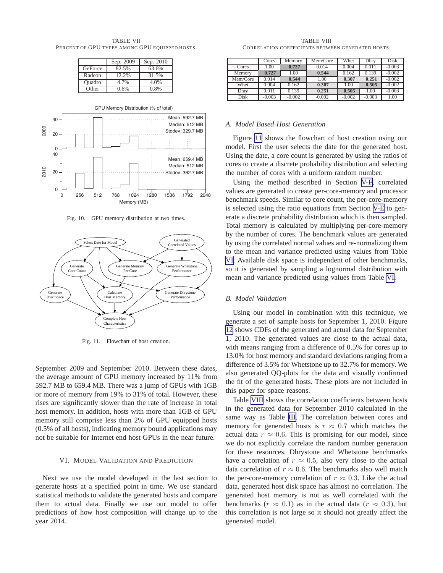<span id="page-8-0"></span>TABLE VII PERCENT OF GPU TYPES AMONG GPU EQUIPPED HOSTS.

|         | Sep. 2009 | Sep. 2010 |
|---------|-----------|-----------|
| GeForce | 82.5%     | 63.6%     |
| Radeon  | 12.2%     | 31.5%     |
| Ouadro  | 4.7%      | 4.0%      |
| Other   | 0.6%      | 0.8%      |



Fig. 10. GPU memory distribution at two times.



Fig. 11. Flowchart of host creation.

September 2009 and September 2010. Between these dates, the average amount of GPU memory increased by 11% from 592.7 MB to 659.4 MB. There was a jump of GPUs with 1GB or more of memory from 19% to 31% of total. However, these rises are significantly slower than the rate of increase in total host memory. In addition, hosts with more than 1GB of GPU memory still comprise less than 2% of GPU equipped hosts (0.5% of all hosts), indicating memory bound applications may not be suitable for Internet end host GPUs in the near future.

# VI. MODEL VALIDATION AND PREDICTION

Next we use the model developed in the last section to generate hosts at a specified point in time. We use standard statistical methods to validate the generated hosts and compare them to actual data. Finally we use our model to offer predictions of how host composition will change up to the year 2014.

TABLE VIII CORRELATION COEFFICIENTS BETWEEN GENERATED HOSTS.

|          | Cores    | Memory   | Mem/Core | Whet     | Dhry     | Disk     |
|----------|----------|----------|----------|----------|----------|----------|
| Cores    | 1.00     | 0.727    | 0.014    | 0.004    | 0.011    | $-0.003$ |
| Memory   | 0.727    | 1.00     | 0.544    | 0.162    | 0.139    | $-0.002$ |
| Mem/Core | 0.014    | 0.544    | 1.00     | 0.307    | 0.251    | $-0.002$ |
| Whet     | 0.004    | 0.162    | 0.307    | 1.00     | 0.505    | $-0.002$ |
| Dhry     | 0.011    | 0.139    | 0.251    | 0.505    | 1.00     | $-0.003$ |
| Disk     | $-0.003$ | $-0.002$ | $-0.002$ | $-0.002$ | $-0.003$ | 1.00     |

### *A. Model Based Host Generation*

Figure 11 shows the flowchart of host creation using our model. First the user selects the date for the generated host. Using the date, a core count is generated by using the ratios of cores to create a discrete probability distribution and selecting the number of cores with a uniform random number.

Using the method described in Section [V-F,](#page-6-0) correlated values are generated to create per-core-memory and processor benchmark speeds. Similar to core count, the per-core-memory is selected using the ratio equations from Section [V-E](#page-5-0) to generate a discrete probability distribution which is then sampled. Total memory is calculated by multiplying per-core-memory by the number of cores. The benchmark values are generated by using the correlated normal values and re-normalizing them to the mean and variance predicted using values from Table [VI.](#page-7-0) Available disk space is independent of other benchmarks, so it is generated by sampling a lognormal distribution with mean and variance predicted using values from Table [VI](#page-7-0).

# *B. Model Validation*

Using our model in combination with this technique, we generate a set of sample hosts for September 1, 2010. Figure [12](#page-9-0) shows CDFs of the generated and actual data for September 1, 2010. The generated values are close to the actual data, with means ranging from a difference of 0.5% for cores up to 13.0% for host memory and standard deviations ranging from a difference of 3.5% for Whetstone up to 32.7% for memory. We also generated QQ-plots for the data and visually confirmed the fit of the generated hosts. These plots are not included in this paper for space reasons.

Table VIII shows the correlation coefficients between hosts in the generated data for September 2010 calculated in the same way as Table [III.](#page-4-0) The correlation between cores and memory for generated hosts is  $r \approx 0.7$  which matches the actual data  $r \approx 0.6$ . This is promising for our model, since we do not explicitly correlate the random number generation for these resources. Dhrystone and Whetstone benchmarks have a correlation of  $r \approx 0.5$ , also very close to the actual data correlation of  $r \approx 0.6$ . The benchmarks also well match the per-core-memory correlation of  $r \approx 0.3$ . Like the actual data, generated host disk space has almost no correlation. The generated host memory is not as well correlated with the benchmarks ( $r \approx 0.1$ ) as in the actual data ( $r \approx 0.3$ ), but this correlation is not large so it should not greatly affect the generated model.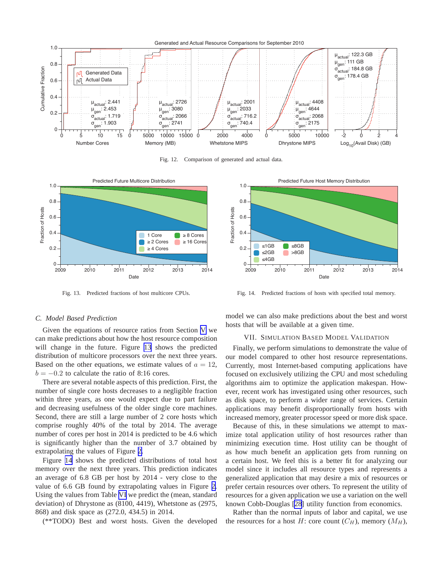<span id="page-9-0"></span>

Fig. 12. Comparison of generated and actual data.



Fig. 13. Predicted fractions of host multicore CPUs.

# *C. Model Based Prediction*

Given the equations of resource ratios from Section [V](#page-2-0) we can make predictions about how the host resource composition will change in the future. Figure 13 shows the predicted distribution of multicore processors over the next three years. Based on the other equations, we estimate values of  $a = 12$ ,  $b = -0.2$  to calculate the ratio of 8:16 cores.

There are several notable aspects of this prediction. First, the number of single core hosts decreases to a negligible fraction within three years, as one would expect due to part failure and decreasing usefulness of the older single core machines. Second, there are still a large number of 2 core hosts which comprise roughly 40% of the total by 2014. The average number of cores per host in 2014 is predicted to be 4.6 which is significantly higher than the number of 3.7 obtained by extrapolating the values of Figure [2.](#page-3-0)

Figure 14 shows the predicted distributions of total host memory over the next three years. This prediction indicates an average of 6.8 GB per host by 2014 - very close to the value of 6.6 GB found by extrapolating values in Figure [2.](#page-3-0) Using the values from Table [VI](#page-7-0) we predict the (mean, standard deviation) of Dhrystone as (8100, 4419), Whetstone as (2975, 868) and disk space as (272.0, 434.5) in 2014.

(\*\*TODO) Best and worst hosts. Given the developed



Fig. 14. Predicted fractions of hosts with specified total memory.

model we can also make predictions about the best and worst hosts that will be available at a given time.

#### VII. SIMULATION BASED MODEL VALIDATION

Finally, we perform simulations to demonstrate the value of our model compared to other host resource representations. Currently, most Internet-based computing applications have focused on exclusively utilizing the CPU and most scheduling algorithms aim to optimize the application makespan. However, recent work has investigated using other resources, such as disk space, to perform a wider range of services. Certain applications may benefit disproportionally from hosts with increased memory, greater processor speed or more disk space.

Because of this, in these simulations we attempt to maximize total application utility of host resources rather than minimizing execution time. Host utility can be thought of as how much benefit an application gets from running on a certain host. We feel this is a better fit for analyzing our model since it includes all resource types and represents a generalized application that may desire a mix of resources or prefer certain resources over others. To represent the utility of resources for a given application we use a variation on the well known Cobb-Douglas [\[28](#page-12-0)] utility function from economics.

Rather than the normal inputs of labor and capital, we use the resources for a host H: core count  $(C_H)$ , memory  $(M_H)$ ,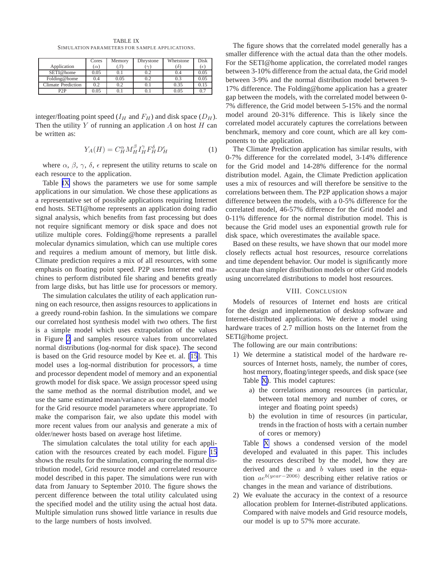<span id="page-10-0"></span>TABLE IX SIMULATION PARAMETERS FOR SAMPLE APPLICATIONS.

|                                           | Cores      | Memory | Dhrystone | Whetstone | Disk |
|-------------------------------------------|------------|--------|-----------|-----------|------|
| Application                               | $(\alpha)$ |        | $\sim$    | 6)        | (E)  |
| SETI@home                                 | 0.05       |        | 0.2       | 0.4       | 0.05 |
| $\overline{\text{Following }}\omega$ home | 0.4        | 0.05   | 0.2       | 0.3       | 0.05 |
| Climate Prediction                        | 0.2        | 0.2    |           | 0.35      | 0.15 |
| P?P                                       | 0.05       |        |           | 0.05      |      |

integer/floating point speed ( $I_H$  and  $F_H$ ) and disk space ( $D_H$ ). Then the utility  $Y$  of running an application  $A$  on host  $H$  can be written as:

$$
Y_A(H) = C_H^{\alpha} M_H^{\beta} I_H^{\gamma} F_H^{\delta} D_H^{\epsilon} \tag{1}
$$

where  $\alpha$ ,  $\beta$ ,  $\gamma$ ,  $\delta$ ,  $\epsilon$  represent the utility returns to scale on each resource to the application.

Table IX shows the parameters we use for some sample applications in our simulation. We chose these applications as a representative set of possible applications requiring Internet end hosts. SETI@home represents an application doing radio signal analysis, which benefits from fast processing but does not require significant memory or disk space and does not utilize multiple cores. Folding@home represents a parallel molecular dynamics simulation, which can use multiple cores and requires a medium amount of memory, but little disk. Climate prediction requires a mix of all resources, with some emphasis on floating point speed. P2P uses Internet end machines to perform distributed file sharing and benefits greatly from large disks, but has little use for processors or memory.

The simulation calculates the utility of each application running on each resource, then assigns resources to applications in a greedy round-robin fashion. In the simulations we compare our correlated host synthesis model with two others. The first is a simple model which uses extrapolation of the values in Figure [2](#page-3-0) and samples resource values from uncorrelated normal distributions (log-normal for disk space). The second is based on the Grid resource model by Kee et. al. [\[15](#page-11-0)]. This model uses a log-normal distribution for processors, a time and processor dependent model of memory and an exponential growth model for disk space. We assign processor speed using the same method as the normal distribution model, and we use the same estimated mean/variance as our correlated model for the Grid resource model parameters where appropriate. To make the comparison fair, we also update this model with more recent values from our analysis and generate a mix of older/newer hosts based on average host lifetime.

The simulation calculates the total utility for each application with the resources created by each model. Figure [15](#page-11-0) shows the results for the simulation, comparing the normal distribution model, Grid resource model and correlated resource model described in this paper. The simulations were run with data from January to September 2010. The figure shows the percent difference between the total utility calculated using the specified model and the utility using the actual host data. Multiple simulation runs showed little variance in results due to the large numbers of hosts involved.

The figure shows that the correlated model generally has a smaller difference with the actual data than the other models. For the SETI@home application, the correlated model ranges between 3-10% difference from the actual data, the Grid model between 3-9% and the normal distribution model between 9- 17% difference. The Folding@home application has a greater gap between the models, with the correlated model between 0- 7% difference, the Grid model between 5-15% and the normal model around 20-31% difference. This is likely since the correlated model accurately captures the correlations between benchmark, memory and core count, which are all key components to the application.

The Climate Prediction application has similar results, with 0-7% difference for the correlated model, 3-14% difference for the Grid model and 14-28% difference for the normal distribution model. Again, the Climate Prediction application uses a mix of resources and will therefore be sensitive to the correlations between them. The P2P application shows a major difference between the models, with a 0-5% difference for the correlated model, 46-57% difference for the Grid model and 0-11% difference for the normal distribution model. This is because the Grid model uses an exponential growth rule for disk space, which overestimates the available space.

Based on these results, we have shown that our model more closely reflects actual host resources, resource correlations and time dependent behavior. Our model is significantly more accurate than simpler distribution models or other Grid models using uncorrelated distributions to model host resources.

# VIII. CONCLUSION

Models of resources of Internet end hosts are critical for the design and implementation of desktop software and Internet-distributed applications. We derive a model using hardware traces of 2.7 million hosts on the Internet from the SETI@home project.

The following are our main contributions:

- 1) We determine a statistical model of the hardware resources of Internet hosts, namely, the number of cores, host memory, floating/integer speeds, and disk space (see Table [X\)](#page-11-0). This model captures:
	- a) the correlations among resources (in particular, between total memory and number of cores, or integer and floating point speeds)
	- b) the evolution in time of resources (in particular, trends in the fraction of hosts with a certain number of cores or memory)

Table [X](#page-11-0) shows a condensed version of the model developed and evaluated in this paper. This includes the resources described by the model, how they are derived and the  $a$  and  $b$  values used in the equation aeb(year−2006) describing either relative ratios or changes in the mean and variance of distributions.

2) We evaluate the accuracy in the context of a resource allocation problem for Internet-distributed applications. Compared with naive models and Grid resource models, our model is up to 57% more accurate.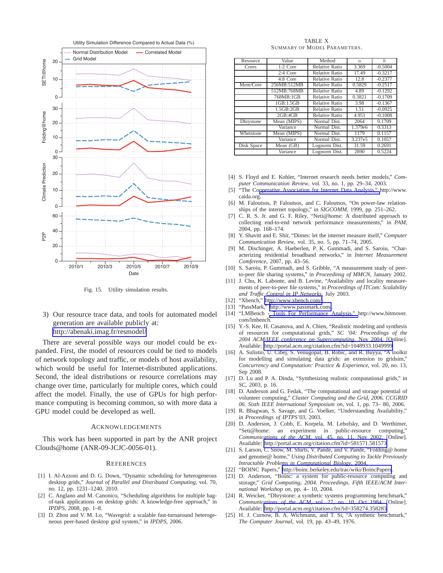<span id="page-11-0"></span>

Fig. 15. Utility simulation results.

3) Our resource trace data, and tools for automated model generation are available publicly at:

<http://abenaki.imag.fr/resmodel/>

There are several possible ways our model could be expanded. First, the model of resources could be tied to models of network topology and traffic, or models of host availability, which would be useful for Internet-distributed applications. Second, the ideal distributions or resource correlations may change over time, particularly for multiple cores, which could affect the model. Finally, the use of GPUs for high performance computing is becoming common, so with more data a GPU model could be developed as well.

#### ACKNOWLEDGEMENTS

This work has been supported in part by the ANR project Clouds@home (ANR-09-JCJC-0056-01).

#### **REFERENCES**

- [1] I. Al-Azzoni and D. G. Down, "Dynamic scheduling for heterogeneous desktop grids," *Journal of Parallel and Distributed Computing*, vol. 70, no. 12, pp. 1231–1240, 2010.
- [2] C. Anglano and M. Canonico, "Scheduling algorithms for multiple bagof-task applications on desktop grids: A knowledge-free approach," in *IPDPS*, 2008, pp. 1–8.
- [3] D. Zhou and V. M. Lo, "Wavegrid: a scalable fast-turnaround heterogeneous peer-based desktop grid system," in *IPDPS*, 2006.

TABLE X SUMMARY OF MODEL PARAMETERS.

| Resource   | Value       | Method                | $\boldsymbol{a}$ | Ь         |
|------------|-------------|-----------------------|------------------|-----------|
| Cores      | $1:2$ Core  | <b>Relative Ratio</b> | 3.369            | $-0.5004$ |
|            | $2:4$ Core  | Relative Ratio        | 17.49            | $-0.3217$ |
|            | 4:8 Core    | <b>Relative Ratio</b> | 12.8             | $-0.2377$ |
| Mem/Core   | 256MB:512MB | <b>Relative Ratio</b> | 0.5829           | $-0.2517$ |
|            | 512MB:768MB | Relative Ratio        | 4.89             | $-0.1292$ |
|            | 768MB:1GB   | <b>Relative Ratio</b> | 0.3821           | $-0.1709$ |
|            | 1GB:1.5GB   | <b>Relative Ratio</b> | 3.98             | $-0.1367$ |
|            | 1.5GB:2GB   | Relative Ratio        | 1.51             | $-0.0925$ |
|            | 2GB:4GB     | Relative Ratio        | 4.951            | $-0.1008$ |
| Dhrystone  | Mean (MIPS) | Normal Dist.          | 2064             | 0.1709    |
|            | Variance    | Normal Dist.          | 1.379e6          | 0.3313    |
| Whetstone  | Mean (MIPS) | Normal Dist.          | 1179             | 0.1157    |
|            | Variance    | Normal Dist.          | 3.237e5          | 0.1057    |
| Disk Space | Mean $(GB)$ | Lognorm Dist.         | 31.59            | 0.2691    |
|            | Variance    | Lognorm Dist.         | 2890             | 0.5224    |

- [4] S. Floyd and E. Kohler, "Internet research needs better models," *Computer Communication Review*, vol. 33, no. 1, pp. 29–34, 2003.
- [5] "The Co[operative Association for Internet Data Analysis,"](http://www.caida.org) http://www. caida.org.
- [6] M. Faloutsos, P. Faloutsos, and C. Faloutsos, "On power-law relationships of the internet topology," in *SIGCOMM*, 1999, pp. 251–262.
- [7] C. R. S. Jr. and G. F. Riley, "Neti@home: A distributed approach to collecting end-to-end network performance measurements," in *PAM*, 2004, pp. 168–174.
- [8] Y. Shavitt and E. Shir, "Dimes: let the internet measure itself," *Computer Communication Review*, vol. 35, no. 5, pp. 71–74, 2005.
- [9] M. Dischinger, A. Haeberlen, P. K. Gummadi, and S. Saroiu, "Characterizing residential broadband networks," in *Internet Measurement Comference*, 2007, pp. 43–56.
- [10] S. Saroiu, P. Gummadi, and S. Gribble, "A measurement study of peerto-peer file sharing systems," in *Proceedinsg of MMCN*, January 2002.
- [11] J. Chu, K. Labonte, and B. Levine, "Availability and locality measurements of peer-to-peer file systems," in *Proceedings of ITCom: Scalability and Traffic Control in IP Networks*, July 2003.
- [12] "Xbench," [http://www.xbench.com/.](http://www.xbench.com/)
- [13] "PassMark,"<http://www.passmark.com/>.<br>[14] "LMBench Tools For Performance /
- "LMBench - [Tools For Performance Analysis,"](http://www.bitmover.com/lmbench) http://www.bitmover. com/lmbench.
- [15] Y.-S. Kee, H. Casanova, and A. Chien, "Realistic modeling and synthesis of resources for computational grids," *SC '04: Proceedings of the 2004 ACM/IEEE conference on Supercomputing*, Nov 2004. [Online]. Available:<http://portal.acm.org/citation.cfm?id=1048933.1049999>
- [16] A. Sulistio, U. Cibej, S. Venugopal, B. Robic, and R. Buyya, "A toolkit for modelling and simulating data grids: an extension to gridsim," *Concurrency and Computation: Practice & Experience*, vol. 20, no. 13, Sep 2008.
- [17] D. Lu and P. A. Dinda, "Synthesizing realistic computational grids," in *SC*, 2003, p. 16.
- [18] D. Anderson and G. Fedak, "The computational and storage potential of volunteer computing," *Cluster Computing and the Grid, 2006. CCGRID 06. Sixth IEEE International Symposium on*, vol. 1, pp. 73– 80, 2006.
- [19] R. Bhagwan, S. Savage, and G. Voelker, "Understanding Availability," in *Proceedings of IPTPS'03*, 2003.
- [20] D. Anderson, J. Cobb, E. Korpela, M. Lebofsky, and D. Werthimer, "Seti@home: an experiment in public-resource computing," *Communications of the ACM*, vol. 45, no. 11, Nov 2002. [Online]. Available:<http://portal.acm.org/citation.cfm?id=581571.581573>
- [21] S. Larson, C. Snow, M. Shirts, V. Pande, and V. Pande, "Folding@ home and genome@ home," *Using Distributed Computing to Tackle Previously Intractable Problems in Computational Biology*, 2004.
- [22] "BOINC Papers,"<http://boinc.berkeley.edu/trac/wiki/BoincPapers>.
- [23] D. Anderson, "Boinc: a system for public-resource computing and storage," *Grid Computing, 2004. Proceedings. Fifth IEEE/ACM International Workshop on*, pp. 4– 10, 2004.
- [24] R. Weicker, "Dhrystone: a synthetic systems programming benchmark," *Communications of the ACM*, vol. 27, no. 10, Oct 1984. [Online]. Available:<http://portal.acm.org/citation.cfm?id=358274.358283>
- [25] H. J. Curnow, B. A. Wichmann, and T. Si, "A synthetic benchmark," *The Computer Journal*, vol. 19, pp. 43–49, 1976.